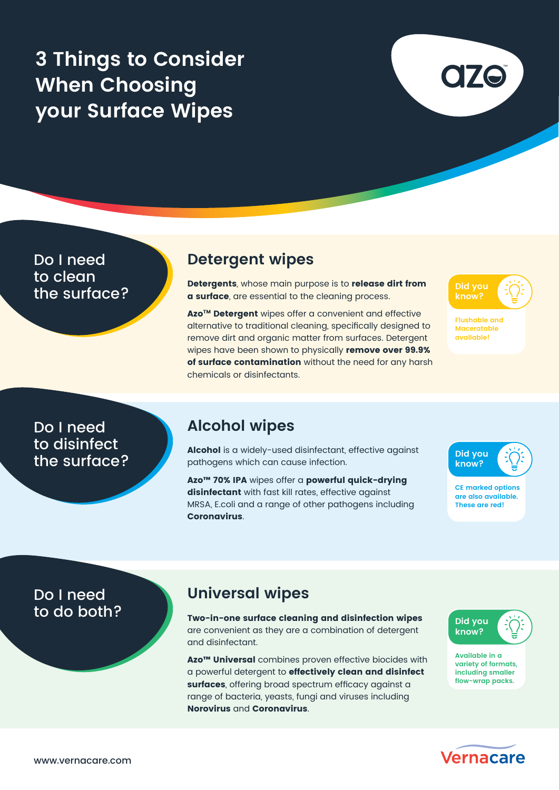# **3 Things to Consider When Choosing your Surface Wipes**

Do I need to clean<br>the surface?

### **Detergent wipes**

**the surface?** Detergents, whose main purpose is to release dirt from the Surface? **a surface**, are essential to the cleaning process.

Azo<sup>™</sup> Detergent wipes offer a convenient and effective alternative to traditional cleaning, specifically designed to remove dirt and organic matter from surfaces. Detergent wipes have been shown to physically remove over 99.9% of surface contamination without the need for any harsh chemicals or disinfectants.

**Did you know?**

**Flushable and Maceratable available!**

Do I need to disinfect the surface?

### **Alcohol wipes**

Alcohol is a widely-used disinfectant, effective against pathogens which can cause infection.

Azo™ 70% IPA wipes offer a powerful quick-drying disinfectant with fast kill rates, effective against MRSA, E.coli and a range of other pathogens including Coronavirus.



**CE marked options are also available. These are red!**

# Do I need<br>to do both?

### **Universal wipes**

Two-in-one surface cleaning and disinfection wipes are convenient as they are a combination of detergent and disinfectant.

Azo<sup>™</sup> Universal combines proven effective biocides with a powerful detergent to effectively clean and disinfect surfaces, offering broad spectrum efficacy against a range of bacteria, yeasts, fungi and viruses including Norovirus and Coronavirus.



**Available in a variety of formats, including smaller flow-wrap packs.**